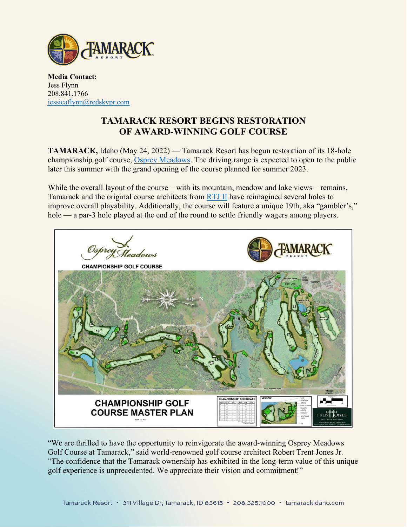

**Media Contact:** Jess Flynn 208.841.1766 [jessicaflynn@redskypr.com](mailto:jessicaflynn@redskypr.com)

## **TAMARACK RESORT BEGINS RESTORATION OF AWARD-WINNING GOLF COURSE**

**TAMARACK,** Idaho (May 24, 2022) — Tamarack Resort has begun restoration of its 18-hole championship golf course, [Osprey Meadows.](https://tamarackidaho.com/golf-announcement) The driving range is expected to open to the public later this summer with the grand opening of the course planned for summer 2023.

While the overall layout of the course – with its mountain, meadow and lake views – remains, Tamarack and the original course architects from [RTJ II](https://www.rtj2.com/) have reimagined several holes to improve overall playability. Additionally, the course will feature a unique 19th, aka "gambler's," hole — a par-3 hole played at the end of the round to settle friendly wagers among players.



"We are thrilled to have the opportunity to reinvigorate the award-winning Osprey Meadows Golf Course at Tamarack," said world-renowned golf course architect Robert Trent Jones Jr. "The confidence that the Tamarack ownership has exhibited in the long-term value of this unique golf experience is unprecedented. We appreciate their vision and commitment!"